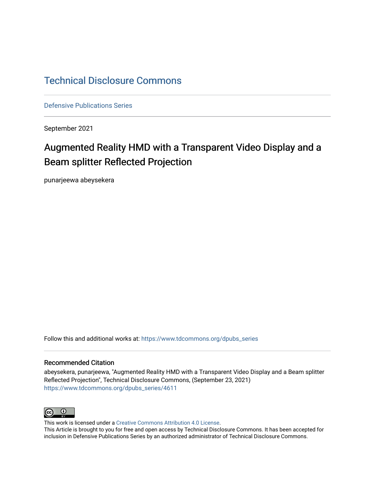## [Technical Disclosure Commons](https://www.tdcommons.org/)

[Defensive Publications Series](https://www.tdcommons.org/dpubs_series)

September 2021

# Augmented Reality HMD with a Transparent Video Display and a Beam splitter Reflected Projection

punarjeewa abeysekera

Follow this and additional works at: [https://www.tdcommons.org/dpubs\\_series](https://www.tdcommons.org/dpubs_series?utm_source=www.tdcommons.org%2Fdpubs_series%2F4611&utm_medium=PDF&utm_campaign=PDFCoverPages) 

#### Recommended Citation

abeysekera, punarjeewa, "Augmented Reality HMD with a Transparent Video Display and a Beam splitter Reflected Projection", Technical Disclosure Commons, (September 23, 2021) [https://www.tdcommons.org/dpubs\\_series/4611](https://www.tdcommons.org/dpubs_series/4611?utm_source=www.tdcommons.org%2Fdpubs_series%2F4611&utm_medium=PDF&utm_campaign=PDFCoverPages)



This work is licensed under a [Creative Commons Attribution 4.0 License](http://creativecommons.org/licenses/by/4.0/deed.en_US).

This Article is brought to you for free and open access by Technical Disclosure Commons. It has been accepted for inclusion in Defensive Publications Series by an authorized administrator of Technical Disclosure Commons.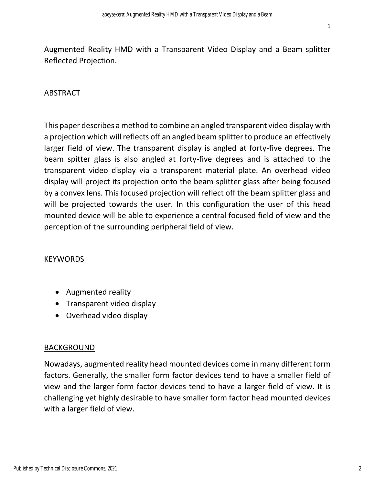Augmented Reality HMD with a Transparent Video Display and a Beam splitter Reflected Projection.

## ABSTRACT

This paper describes a method to combine an angled transparent video display with a projection which will reflects off an angled beam splitter to produce an effectively larger field of view. The transparent display is angled at forty-five degrees. The beam spitter glass is also angled at forty-five degrees and is attached to the transparent video display via a transparent material plate. An overhead video display will project its projection onto the beam splitter glass after being focused by a convex lens. This focused projection will reflect off the beam splitter glass and will be projected towards the user. In this configuration the user of this head mounted device will be able to experience a central focused field of view and the perception of the surrounding peripheral field of view.

#### KEYWORDS

- Augmented reality
- Transparent video display
- Overhead video display

#### BACKGROUND

Nowadays, augmented reality head mounted devices come in many different form factors. Generally, the smaller form factor devices tend to have a smaller field of view and the larger form factor devices tend to have a larger field of view. It is challenging yet highly desirable to have smaller form factor head mounted devices with a larger field of view.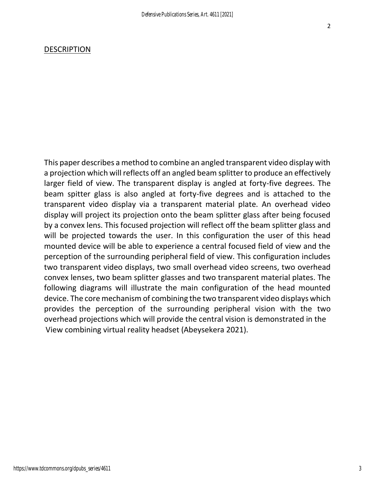#### DESCRIPTION

This paper describes a method to combine an angled transparent video display with a projection which will reflects off an angled beam splitter to produce an effectively larger field of view. The transparent display is angled at forty-five degrees. The beam spitter glass is also angled at forty-five degrees and is attached to the transparent video display via a transparent material plate. An overhead video display will project its projection onto the beam splitter glass after being focused by a convex lens. This focused projection will reflect off the beam splitter glass and will be projected towards the user. In this configuration the user of this head mounted device will be able to experience a central focused field of view and the perception of the surrounding peripheral field of view. This configuration includes two transparent video displays, two small overhead video screens, two overhead convex lenses, two beam splitter glasses and two transparent material plates. The following diagrams will illustrate the main configuration of the head mounted device. The core mechanism of combining the two transparent video displays which provides the perception of the surrounding peripheral vision with the two overhead projections which will provide the central vision is demonstrated in the View combining virtual reality headset (Abeysekera 2021).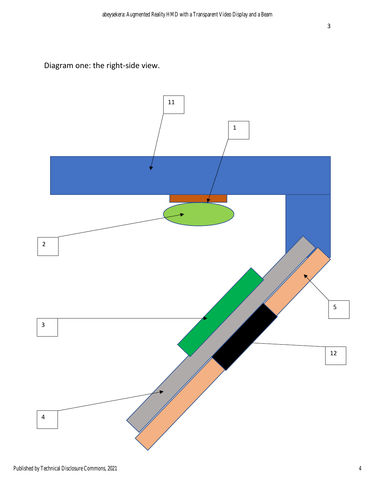Diagram one: the right-side view.

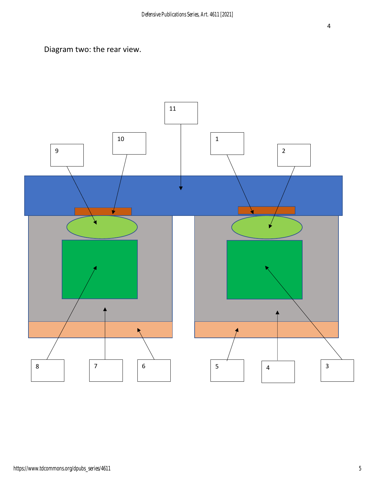Diagram two: the rear view.

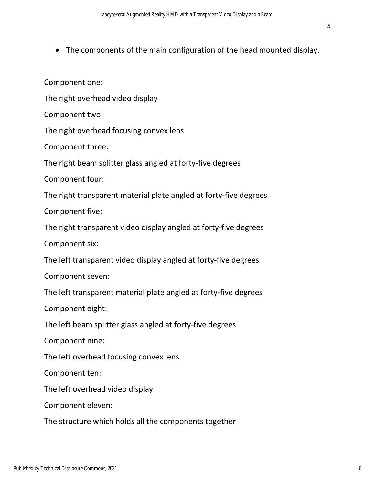• The components of the main configuration of the head mounted display.

Component one:

The right overhead video display

Component two:

The right overhead focusing convex lens

Component three:

The right beam splitter glass angled at forty-five degrees

Component four:

The right transparent material plate angled at forty-five degrees

Component five:

The right transparent video display angled at forty-five degrees

Component six:

The left transparent video display angled at forty-five degrees

Component seven:

The left transparent material plate angled at forty-five degrees

Component eight:

The left beam splitter glass angled at forty-five degrees

Component nine:

The left overhead focusing convex lens

Component ten:

The left overhead video display

Component eleven:

The structure which holds all the components together

5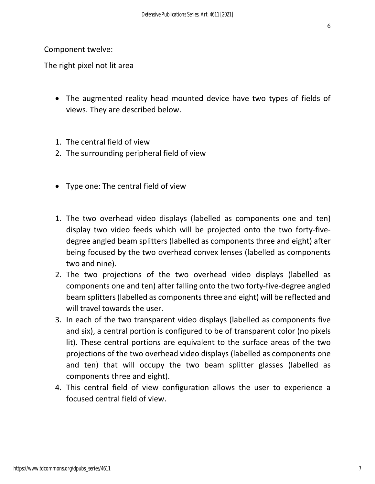Component twelve:

The right pixel not lit area

- The augmented reality head mounted device have two types of fields of views. They are described below.
- 1. The central field of view
- 2. The surrounding peripheral field of view
- Type one: The central field of view
- 1. The two overhead video displays (labelled as components one and ten) display two video feeds which will be projected onto the two forty-fivedegree angled beam splitters (labelled as components three and eight) after being focused by the two overhead convex lenses (labelled as components two and nine).
- 2. The two projections of the two overhead video displays (labelled as components one and ten) after falling onto the two forty-five-degree angled beam splitters (labelled as components three and eight) will be reflected and will travel towards the user.
- 3. In each of the two transparent video displays (labelled as components five and six), a central portion is configured to be of transparent color (no pixels lit). These central portions are equivalent to the surface areas of the two projections of the two overhead video displays (labelled as components one and ten) that will occupy the two beam splitter glasses (labelled as components three and eight).
- 4. This central field of view configuration allows the user to experience a focused central field of view.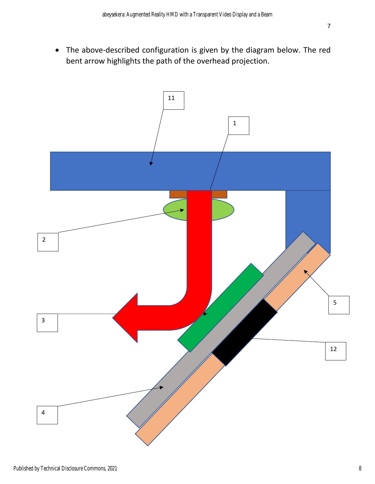• The above-described configuration is given by the diagram below. The red bent arrow highlights the path of the overhead projection.

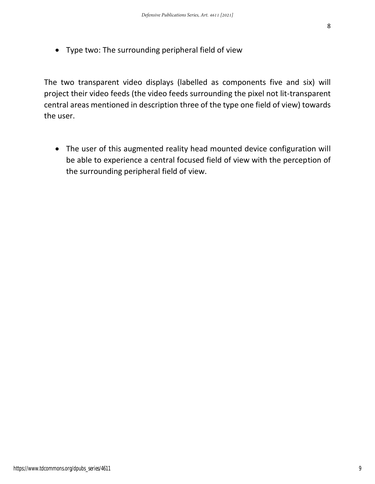• Type two: The surrounding peripheral field of view

The two transparent video displays (labelled as components five and six) will project their video feeds (the video feeds surrounding the pixel not lit-transparent central areas mentioned in description three of the type one field of view) towards the user.

• The user of this augmented reality head mounted device configuration will be able to experience a central focused field of view with the perception of the surrounding peripheral field of view.